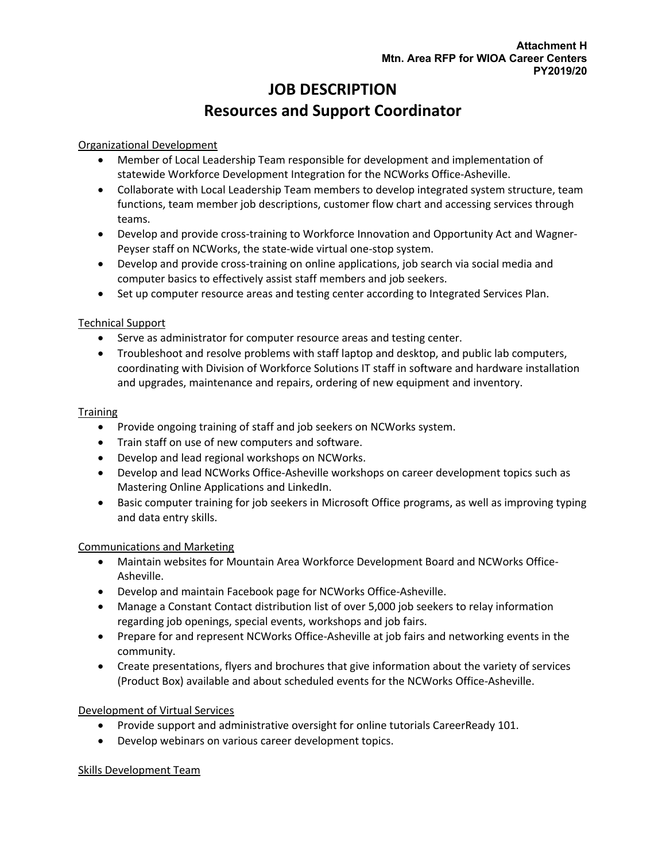# **JOB DESCRIPTION Resources and Support Coordinator**

## Organizational Development

- Member of Local Leadership Team responsible for development and implementation of statewide Workforce Development Integration for the NCWorks Office-Asheville.
- Collaborate with Local Leadership Team members to develop integrated system structure, team functions, team member job descriptions, customer flow chart and accessing services through teams.
- Develop and provide cross-training to Workforce Innovation and Opportunity Act and Wagner-Peyser staff on NCWorks, the state-wide virtual one-stop system.
- Develop and provide cross-training on online applications, job search via social media and computer basics to effectively assist staff members and job seekers.
- Set up computer resource areas and testing center according to Integrated Services Plan.

# Technical Support

- Serve as administrator for computer resource areas and testing center.
- Troubleshoot and resolve problems with staff laptop and desktop, and public lab computers, coordinating with Division of Workforce Solutions IT staff in software and hardware installation and upgrades, maintenance and repairs, ordering of new equipment and inventory.

## **Training**

- Provide ongoing training of staff and job seekers on NCWorks system.
- Train staff on use of new computers and software.
- Develop and lead regional workshops on NCWorks.
- Develop and lead NCWorks Office-Asheville workshops on career development topics such as Mastering Online Applications and LinkedIn.
- Basic computer training for job seekers in Microsoft Office programs, as well as improving typing and data entry skills.

# Communications and Marketing

- Maintain websites for Mountain Area Workforce Development Board and NCWorks Office-Asheville.
- Develop and maintain Facebook page for NCWorks Office-Asheville.
- Manage a Constant Contact distribution list of over 5,000 job seekers to relay information regarding job openings, special events, workshops and job fairs.
- Prepare for and represent NCWorks Office-Asheville at job fairs and networking events in the community.
- Create presentations, flyers and brochures that give information about the variety of services (Product Box) available and about scheduled events for the NCWorks Office-Asheville.

# Development of Virtual Services

- Provide support and administrative oversight for online tutorials CareerReady 101.
- Develop webinars on various career development topics.

## Skills Development Team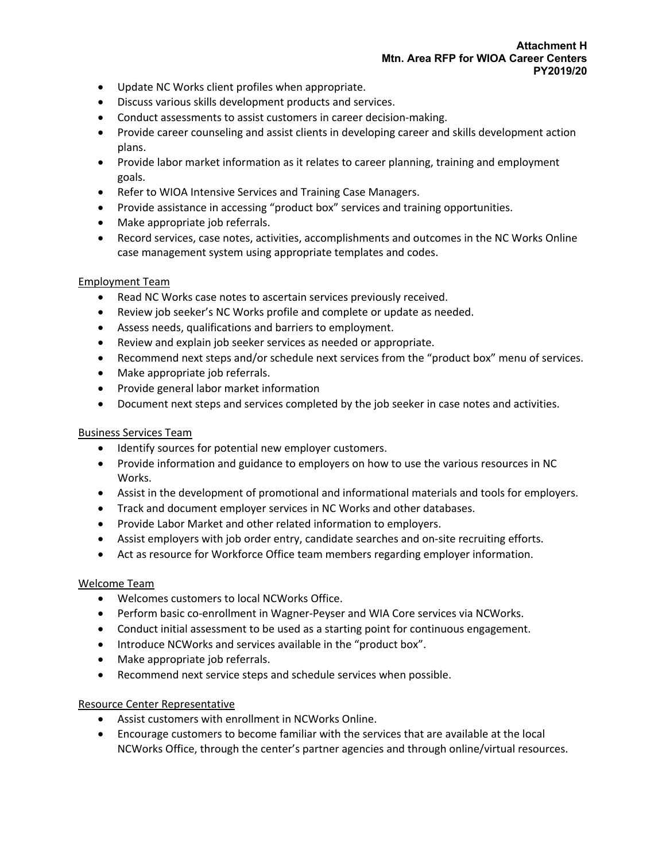- Update NC Works client profiles when appropriate.
- Discuss various skills development products and services.
- Conduct assessments to assist customers in career decision-making.
- Provide career counseling and assist clients in developing career and skills development action plans.
- Provide labor market information as it relates to career planning, training and employment goals.
- Refer to WIOA Intensive Services and Training Case Managers.
- Provide assistance in accessing "product box" services and training opportunities.
- Make appropriate job referrals.
- Record services, case notes, activities, accomplishments and outcomes in the NC Works Online case management system using appropriate templates and codes.

#### Employment Team

- Read NC Works case notes to ascertain services previously received.
- Review job seeker's NC Works profile and complete or update as needed.
- Assess needs, qualifications and barriers to employment.
- Review and explain job seeker services as needed or appropriate.
- Recommend next steps and/or schedule next services from the "product box" menu of services.
- Make appropriate job referrals.
- Provide general labor market information
- Document next steps and services completed by the job seeker in case notes and activities.

#### Business Services Team

- Identify sources for potential new employer customers.
- Provide information and guidance to employers on how to use the various resources in NC Works.
- Assist in the development of promotional and informational materials and tools for employers.
- Track and document employer services in NC Works and other databases.
- Provide Labor Market and other related information to employers.
- Assist employers with job order entry, candidate searches and on-site recruiting efforts.
- Act as resource for Workforce Office team members regarding employer information.

#### Welcome Team

- Welcomes customers to local NCWorks Office.
- Perform basic co-enrollment in Wagner-Peyser and WIA Core services via NCWorks.
- Conduct initial assessment to be used as a starting point for continuous engagement.
- Introduce NCWorks and services available in the "product box".
- Make appropriate job referrals.
- Recommend next service steps and schedule services when possible.

#### Resource Center Representative

- Assist customers with enrollment in NCWorks Online.
- Encourage customers to become familiar with the services that are available at the local NCWorks Office, through the center's partner agencies and through online/virtual resources.